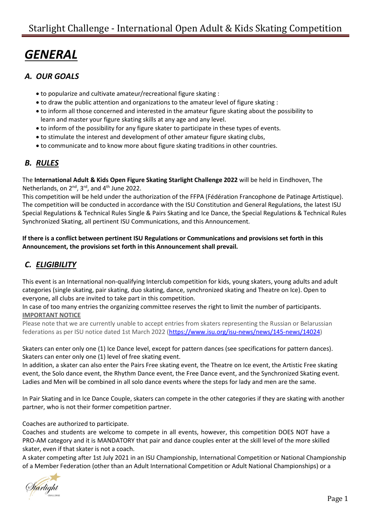# *GENERAL*

### *A. OUR GOALS*

- to popularize and cultivate amateur/recreational figure skating :
- to draw the public attention and organizations to the amateur level of figure skating :
- to inform all those concerned and interested in the amateur figure skating about the possibility to learn and master your figure skating skills at any age and any level.
- to inform of the possibility for any figure skater to participate in these types of events.
- to stimulate the interest and development of other amateur figure skating clubs,
- to communicate and to know more about figure skating traditions in other countries.

### *B. RULES*

The **International Adult & Kids Open Figure Skating Starlight Challenge 2022** will be held in Eindhoven, The Netherlands, on  $2^{nd}$ ,  $3^{rd}$ , and  $4^{th}$  June 2022.

This competition will be held under the authorization of the FFPA (Fédération Francophone de Patinage Artistique). The competition will be conducted in accordance with the ISU Constitution and General Regulations, the latest ISU Special Regulations & Technical Rules Single & Pairs Skating and Ice Dance, the Special Regulations & Technical Rules Synchronized Skating, all pertinent ISU Communications, and this Announcement.

#### **If there is a conflict between pertinent ISU Regulations or Communications and provisions set forth in this Announcement, the provisions set forth in this Announcement shall prevail.**

# *C. ELIGIBILITY*

This event is an International non-qualifying Interclub competition for kids, young skaters, young adults and adult categories (single skating, pair skating, duo skating, dance, synchronized skating and Theatre on Ice). Open to everyone, all clubs are invited to take part in this competition.

In case of too many entries the organizing committee reserves the right to limit the number of participants. **IMPORTANT NOTICE**

Please note that we are currently unable to accept entries from skaters representing the Russian or Belarussian federations as per ISU notice dated 1st March 2022 [\(https://www.isu.org/isu-news/news/145-news/14024\)](https://www.isu.org/isu-news/news/145-news/14024)

Skaters can enter only one (1) Ice Dance level, except for pattern dances (see specifications for pattern dances). Skaters can enter only one (1) level of free skating event.

In addition, a skater can also enter the Pairs Free skating event, the Theatre on Ice event, the Artistic Free skating event, the Solo dance event, the Rhythm Dance event, the Free Dance event, and the Synchronized Skating event. Ladies and Men will be combined in all solo dance events where the steps for lady and men are the same.

In Pair Skating and in Ice Dance Couple, skaters can compete in the other categories if they are skating with another partner, who is not their former competition partner.

Coaches are authorized to participate.

Coaches and students are welcome to compete in all events, however, this competition DOES NOT have a PRO-AM category and it is MANDATORY that pair and dance couples enter at the skill level of the more skilled skater, even if that skater is not a coach.

A skater competing after 1st July 2021 in an ISU Championship, International Competition or National Championship of a Member Federation (other than an Adult International Competition or Adult National Championships) or a

farlight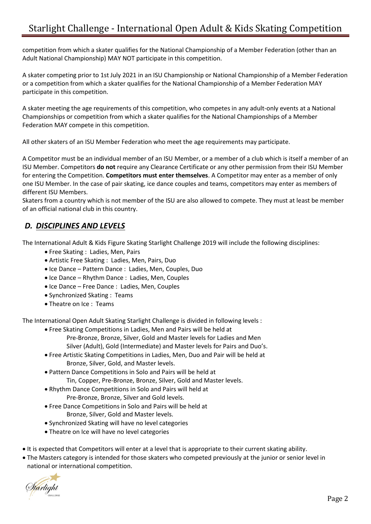competition from which a skater qualifies for the National Championship of a Member Federation (other than an Adult National Championship) MAY NOT participate in this competition.

A skater competing prior to 1st July 2021 in an ISU Championship or National Championship of a Member Federation or a competition from which a skater qualifies for the National Championship of a Member Federation MAY participate in this competition.

A skater meeting the age requirements of this competition, who competes in any adult-only events at a National Championships or competition from which a skater qualifies for the National Championships of a Member Federation MAY compete in this competition.

All other skaters of an ISU Member Federation who meet the age requirements may participate.

A Competitor must be an individual member of an ISU Member, or a member of a club which is itself a member of an ISU Member. Competitors **do not** require any Clearance Certificate or any other permission from their ISU Member for entering the Competition. **Competitors must enter themselves**. A Competitor may enter as a member of only one ISU Member. In the case of pair skating, ice dance couples and teams, competitors may enter as members of different ISU Members.

Skaters from a country which is not member of the ISU are also allowed to compete. They must at least be member of an official national club in this country.

### *D. DISCIPLINES AND LEVELS*

The International Adult & Kids Figure Skating Starlight Challenge 2019 will include the following disciplines:

- Free Skating : Ladies, Men, Pairs
- Artistic Free Skating : Ladies, Men, Pairs, Duo
- Ice Dance Pattern Dance : Ladies, Men, Couples, Duo
- Ice Dance Rhythm Dance : Ladies, Men, Couples
- Ice Dance Free Dance : Ladies, Men, Couples
- Synchronized Skating : Teams
- Theatre on Ice : Teams

The International Open Adult Skating Starlight Challenge is divided in following levels :

- Free Skating Competitions in Ladies, Men and Pairs will be held at Pre-Bronze, Bronze, Silver, Gold and Master levels for Ladies and Men
	- Silver (Adult), Gold (Intermediate) and Master levels for Pairs and Duo's.
- Free Artistic Skating Competitions in Ladies, Men, Duo and Pair will be held at Bronze, Silver, Gold, and Master levels.
- Pattern Dance Competitions in Solo and Pairs will be held at Tin, Copper, Pre-Bronze, Bronze, Silver, Gold and Master levels.
- Rhythm Dance Competitions in Solo and Pairs will held at Pre-Bronze, Bronze, Silver and Gold levels.
- Free Dance Competitions in Solo and Pairs will be held at Bronze, Silver, Gold and Master levels.
- Synchronized Skating will have no level categories
- Theatre on Ice will have no level categories
- It is expected that Competitors will enter at a level that is appropriate to their current skating ability.
- The Masters category is intended for those skaters who competed previously at the junior or senior level in national or international competition.

f<mark>árlig</mark>ht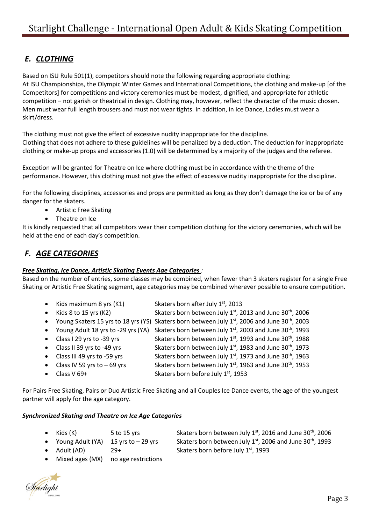## *E. CLOTHING*

Based on ISU Rule 501(1), competitors should note the following regarding appropriate clothing: At ISU Championships, the Olympic Winter Games and International Competitions, the clothing and make-up [of the Competitors] for competitions and victory ceremonies must be modest, dignified, and appropriate for athletic competition – not garish or theatrical in design. Clothing may, however, reflect the character of the music chosen. Men must wear full length trousers and must not wear tights. In addition, in Ice Dance, Ladies must wear a skirt/dress.

The clothing must not give the effect of excessive nudity inappropriate for the discipline. Clothing that does not adhere to these guidelines will be penalized by a deduction. The deduction for inappropriate clothing or make-up props and accessories (1.0) will be determined by a majority of the judges and the referee.

Exception will be granted for Theatre on Ice where clothing must be in accordance with the theme of the performance. However, this clothing must not give the effect of excessive nudity inappropriate for the discipline.

For the following disciplines, accessories and props are permitted as long as they don't damage the ice or be of any danger for the skaters.

- Artistic Free Skating
- Theatre on Ice

It is kindly requested that all competitors wear their competition clothing for the victory ceremonies, which will be held at the end of each day's competition.

### *F. AGE CATEGORIES*

#### *Free Skating, Ice Dance, Artistic Skating Events Age Categories :*

Based on the number of entries, some classes may be combined, when fewer than 3 skaters register for a single Free Skating or Artistic Free Skating segment, age categories may be combined wherever possible to ensure competition.

| • Kids maximum 8 yrs $(K1)$   | Skaters born after July 1st, 2013                                                                          |
|-------------------------------|------------------------------------------------------------------------------------------------------------|
| • Kids $8$ to 15 yrs (K2)     | Skaters born between July 1st, 2013 and June 30th, 2006                                                    |
|                               | • Young Skaters 15 yrs to 18 yrs (YS) Skaters born between July 1st, 2006 and June 30 <sup>th</sup> , 2003 |
|                               | • Young Adult 18 yrs to -29 yrs (YA) Skaters born between July 1st, 2003 and June 30 <sup>th</sup> , 1993  |
| • Class I 29 yrs to -39 yrs   | Skaters born between July 1st, 1993 and June 30 <sup>th</sup> , 1988                                       |
| • Class II 39 yrs to -49 yrs  | Skaters born between July 1st, 1983 and June 30 <sup>th</sup> , 1973                                       |
| • Class III 49 yrs to -59 yrs | Skaters born between July 1st, 1973 and June 30 <sup>th</sup> , 1963                                       |

- Class IV 59 yrs to  $-69$  yrs Skaters born between July  $1<sup>st</sup>$ , 1963 and June 30<sup>th</sup>, 1953
	- Class V 69+ Skaters born before July 1st, 1953

For Pairs Free Skating, Pairs or Duo Artistic Free Skating and all Couples Ice Dance events, the age of the youngest partner will apply for the age category.

#### *Synchronized Skating and Theatre on Ice Age Categories*

- 
- 
- Adult (AD) 29+ Skaters born before July 1<sup>st</sup>, 1993
- Kids (K)  $5$  to 15 yrs Skaters born between July 1<sup>st</sup>, 2016 and June 30<sup>th</sup>, 2006 • Young Adult (YA) 15 yrs to  $-$  29 yrs Skaters born between July 1<sup>st</sup>, 2006 and June 30<sup>th</sup>, 1993
- Mixed ages (MX) no age restrictions

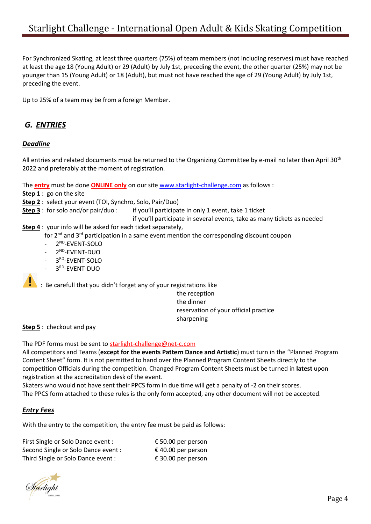For Synchronized Skating, at least three quarters (75%) of team members (not including reserves) must have reached at least the age 18 (Young Adult) or 29 (Adult) by July 1st, preceding the event, the other quarter (25%) may not be younger than 15 (Young Adult) or 18 (Adult), but must not have reached the age of 29 (Young Adult) by July 1st, preceding the event.

Up to 25% of a team may be from a foreign Member.

### *G. ENTRIES*

#### *Deadline*

All entries and related documents must be returned to the Organizing Committee by e-mail no later than April 30<sup>th</sup> 2022 and preferably at the moment of registration.

The **entry** must be done **ONLINE only** on our site [www.starlight-challenge.com](http://www.starlight-challenge.com/) as follows :

**Step 1** : go on the site

**Step 2** : select your event (TOI, Synchro, Solo, Pair/Duo)

**Step 3** : for solo and/or pair/duo : if you'll participate in only 1 event, take 1 ticket

if you'll participate in several events, take as many tickets as needed

**Step 4** : your info will be asked for each ticket separately,

for  $2^{nd}$  and  $3^{rd}$  participation in a same event mention the corresponding discount coupon

- 2<sup>ND</sup>-EVENT-SOLO
- 2<sup>ND</sup>-EVENT-DUO
- 3<sup>RD</sup>-EVENT-SOLO
- 3<sup>RD</sup>-EVENT-DUO

 $\cdot$  : Be carefull that you didn't forget any of your registrations like

the reception the dinner reservation of your official practice sharpening

**Step 5** : checkout and pay

The PDF forms must be sent to starlight-challenge@net-c.com

All competitors and Teams (**except for the events Pattern Dance and Artistic**) must turn in the "Planned Program Content Sheet" form. It is not permitted to hand over the Planned Program Content Sheets directly to the competition Officials during the competition. Changed Program Content Sheets must be turned in **latest** upon registration at the accreditation desk of the event.

Skaters who would not have sent their PPCS form in due time will get a penalty of -2 on their scores. The PPCS form attached to these rules is the only form accepted, any other document will not be accepted.

#### *Entry Fees*

With the entry to the competition, the entry fee must be paid as follows:

| First Single or Solo Dance event :  | € 50.00 per person |
|-------------------------------------|--------------------|
| Second Single or Solo Dance event : | € 40.00 per person |
| Third Single or Solo Dance event :  | € 30.00 per person |

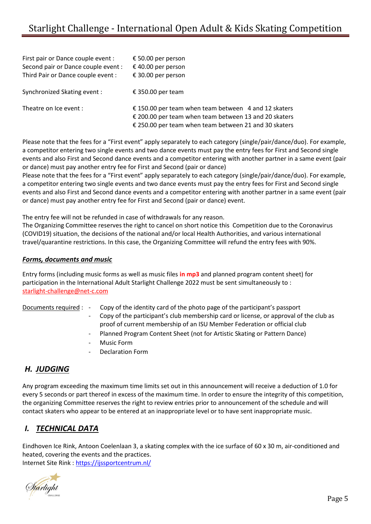| First pair or Dance couple event :  | € 50.00 per person                                                                                                                                                     |
|-------------------------------------|------------------------------------------------------------------------------------------------------------------------------------------------------------------------|
| Second pair or Dance couple event : | € 40.00 per person                                                                                                                                                     |
| Third Pair or Dance couple event :  | € 30.00 per person                                                                                                                                                     |
| Synchronized Skating event :        | € 350.00 per team                                                                                                                                                      |
| Theatre on Ice event :              | € 150.00 per team when team between 4 and 12 skaters<br>€ 200.00 per team when team between 13 and 20 skaters<br>€ 250.00 per team when team between 21 and 30 skaters |

Please note that the fees for a "First event" apply separately to each category (single/pair/dance/duo). For example, a competitor entering two single events and two dance events must pay the entry fees for First and Second single events and also First and Second dance events and a competitor entering with another partner in a same event (pair or dance) must pay another entry fee for First and Second (pair or dance)

Please note that the fees for a "First event" apply separately to each category (single/pair/dance/duo). For example, a competitor entering two single events and two dance events must pay the entry fees for First and Second single events and also First and Second dance events and a competitor entering with another partner in a same event (pair or dance) must pay another entry fee for First and Second (pair or dance) event.

The entry fee will not be refunded in case of withdrawals for any reason.

The Organizing Committee reserves the right to cancel on short notice this Competition due to the Coronavirus (COVID19) situation, the decisions of the national and/or local Health Authorities, and various international travel/quarantine restrictions. In this case, the Organizing Committee will refund the entry fees with 90%.

#### *Forms, documents and music*

Entry forms (including music forms as well as music files **in mp3** and planned program content sheet) for participation in the International Adult Starlight Challenge 2022 must be sent simultaneously to : [starlight-challenge@net-c.com](mailto:starlight-challenge@net-c.com)

Documents required : - Copy of the identity card of the photo page of the participant's passport Copy of the participant's club membership card or license, or approval of the club as

- proof of current membership of an ISU Member Federation or official club
- Planned Program Content Sheet (not for Artistic Skating or Pattern Dance)
- Music Form
- Declaration Form

### *H. JUDGING*

Any program exceeding the maximum time limits set out in this announcement will receive a deduction of 1.0 for every 5 seconds or part thereof in excess of the maximum time. In order to ensure the integrity of this competition, the organizing Committee reserves the right to review entries prior to announcement of the schedule and will contact skaters who appear to be entered at an inappropriate level or to have sent inappropriate music.

### *I. TECHNICAL DATA*

Eindhoven Ice Rink, Antoon Coelenlaan 3, a skating complex with the ice surface of 60 x 30 m, air-conditioned and heated, covering the events and the practices. Internet Site Rink :<https://ijssportcentrum.nl/>